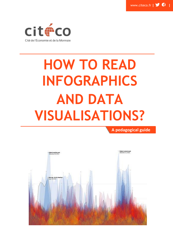

# **HOW TO READ INFOGRAPHICS AND DATA VISUALISATIONS?**

**A pedagogical guide**

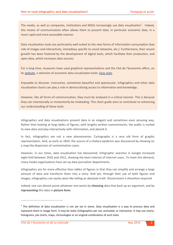The media, as well as companies, institutions and NGOs increasingly use data visualisation<sup>1</sup>. Indeed, this means of communication often allows them to present data, in particular economic data, in a more rapid and more accessible manner.

Data visualisation tools are particularly well-suited to the new forms of information consumption (key role of images and interactivity, immediacy specific to social networks, etc.). Furthermore, their recent growth has been fostered by the development of digital tools, which facilitate their production, and open data, which increases data sources.

For a long time, museums have used graphical representations and the Cité de l'économie offers, on its [website,](http://www.citeco.fr/-English-) a selection of economic data visualisation tools: *[Easy stats](http://www.citeco.fr/-Easy-statistics-)*.

Enjoyable to discover, instructive, sometimes beautiful and spectacular, infographics and other data visualisation charts can play a role in democratising access to information and knowledge.

However, like all forms of communication, they must be analysed in a critical manner. This is because they can intentionally or involuntarily be misleading. This short guide aims to contribute to enhancing our understanding of these tools.

Infographics and data visualisations present data in an elegant and sometimes even amusing way. Rather than looking at long tables of figures, with lengthy written commentaries, the public is invited to view data and play interactively with information, and absorb it.

In fact, infographics are not a new phenomenon. Cartography is a very old form of graphic representation. And, as early as 1854, the source of a cholera epidemic was discovered by showing on a map the dispersion of contamination cases.

However, in our times, data visualisation has blossomed. Infographic searches in Google increased eight-fold between 2010 and 2012, showing the keen interest of Internet users. To meet this demand, many media organisations have set up data journalism departments.

Infographics are far more effective than tables of figures in that they can simplify and arrange a large amount of data and transform them into a story. And yet, through their use of both figures and images, infographics can easily seem like telling an absolute truth. Discernment is therefore required.

Indeed, one can almost prove whatever one wants by **choosing** data that back up an argument, and by **representing** this data in **picture form**.

 $\overline{a}$ 

 $1$  The definition of data visualisation is not yet set in stone. Data visualisation is a way to process data and represent them in image form. It may be static (infographics per se), animated, or interactive. It may use charts, histograms, pie charts, maps, chronologies or an original combination of such tools.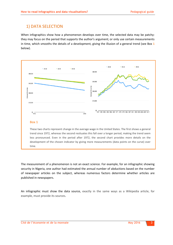## 1) DATA SELECTION

When infographics show how a phenomenon develops over time, the selected data may be patchy: they may focus on the period that supports the author's argument; or only use certain measurements in time, which smooths the details of a development, giving the illusion of a general trend (see Box **1** below).



The measurement of a phenomenon is not an exact science. For example, for an infographic showing security in Nigeria, one author had estimated the annual number of abductions based on the number of newspaper articles on the subject, whereas numerous factors determine whether articles are published in newspapers.

An infographic must show the data source, exactly in the same ways as a Wikipedia article, for example, must provide its sources.

time.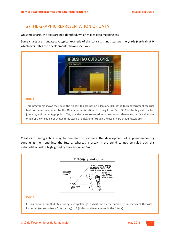## 2) THE GRAPHIC REPRESENTATION OF DATA

On some charts, the axes are not identified, which makes data meaningless.

Some charts are truncated. A typical example of this consists in not starting the y-axis (vertical) at 0, which overstates the developments shown (see Box **2**).



#### **Box 2**

This infographic shows the rise in the highest tax bracket on 1 January 2013 if the Bush government tax cuts had not been maintained by the Obama administration. By rising from 35 to 39.6%, the highest bracket jumps by 4.6 percentage points. Yet, this rise is represented as an explosion, thanks to the fact that the origin of the y-axis is not shown (only starts at 34%), and through the use of very broad histograms.

Creators of infographics may be tempted to estimate the development of a phenomenon by continuing the trend into the future, whereas a break in the trend cannot be ruled out: this extrapolation risk is highlighted by the cartoon in Box **3**.



increased (recently) from 0 (yesterday) to 1 (today) and many more (in the future). In this cartoon, entitled "My hobby: extrapolating", a chart shows the number of husbands of the wife,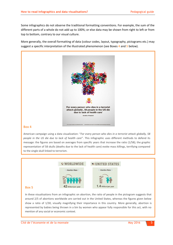Some infographics do not observe the traditional formatting conventions. For example, the sum of the different parts of a whole do not add up to 100%; or else data may be shown from right to left or from top to bottom, contrary to our visual culture.

More generally, the overall formatting of data (colour codes, layout, typography, pictograms etc.) may suggest a specific interpretation of the illustrated phenomenon (see Boxes **4** and **5** below).



#### **Box 4**

American campaign using a data visualization: "*For every person who dies in a terrorist attack globally, 58 people in the US die due to lack of health care*". This infographic uses different methods to defend its message: the figures are based on averages from specific years that increase the ratio (1/58); the graphic representation of 58 skulls (deaths due to the lack of health care) evoke mass killings, terrifying compared to the single skull linked to terrorism.



In these visualisations from an infographic on abortion, the ratio of people in the pictogram suggests that around 2/5 of abortions worldwide are carried out in the United States, whereas the figures given below show a ratio of 1/30, visually magnifying their importance in this country. More generally, abortion is represented by babies being thrown in a bin by women who appear fully responsible for this act, with no mention of any social or economic context.